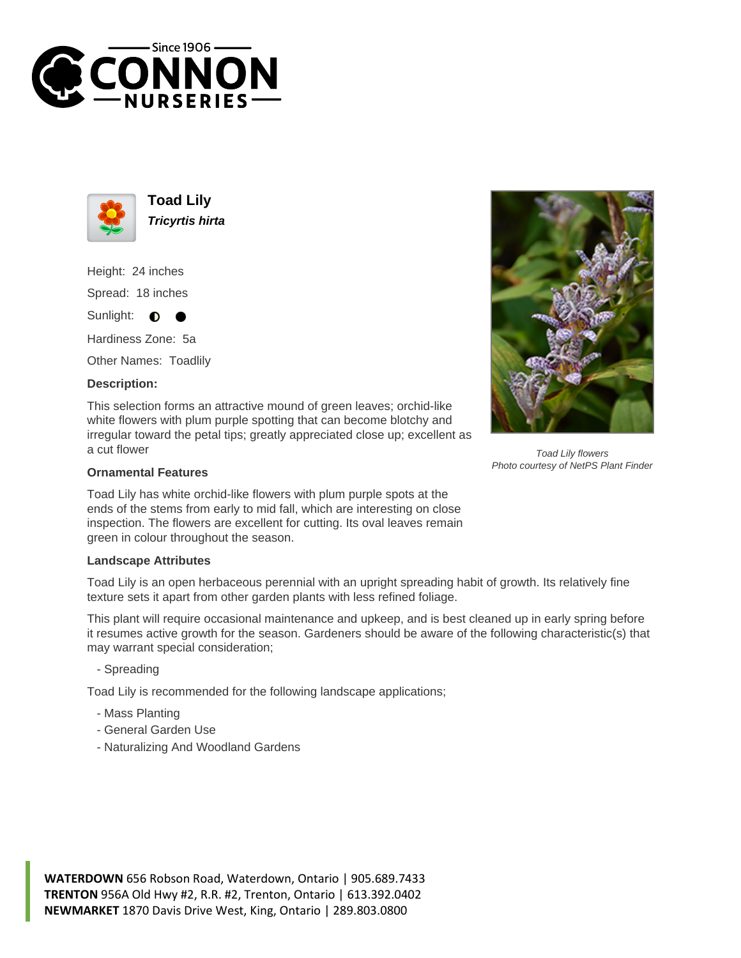



**Toad Lily Tricyrtis hirta**

Height: 24 inches Spread: 18 inches

Sunlight:  $\bullet$ 

Hardiness Zone: 5a

Other Names: Toadlily

## **Description:**

This selection forms an attractive mound of green leaves; orchid-like white flowers with plum purple spotting that can become blotchy and irregular toward the petal tips; greatly appreciated close up; excellent as a cut flower

## **Ornamental Features**

Toad Lily has white orchid-like flowers with plum purple spots at the ends of the stems from early to mid fall, which are interesting on close inspection. The flowers are excellent for cutting. Its oval leaves remain green in colour throughout the season.

## **Landscape Attributes**

Toad Lily is an open herbaceous perennial with an upright spreading habit of growth. Its relatively fine texture sets it apart from other garden plants with less refined foliage.

This plant will require occasional maintenance and upkeep, and is best cleaned up in early spring before it resumes active growth for the season. Gardeners should be aware of the following characteristic(s) that may warrant special consideration;

- Spreading

Toad Lily is recommended for the following landscape applications;

- Mass Planting
- General Garden Use
- Naturalizing And Woodland Gardens



**WATERDOWN** 656 Robson Road, Waterdown, Ontario | 905.689.7433 **TRENTON** 956A Old Hwy #2, R.R. #2, Trenton, Ontario | 613.392.0402 **NEWMARKET** 1870 Davis Drive West, King, Ontario | 289.803.0800